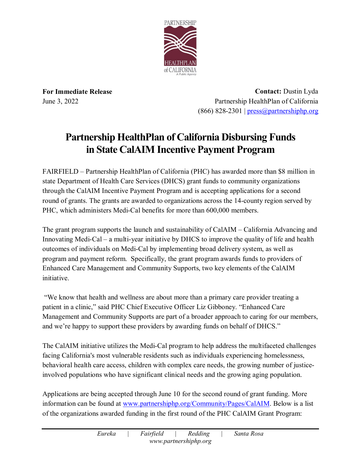

**For Immediate Release** June 3, 2022

**Contact:** Dustin Lyda Partnership HealthPlan of California  $(866)$  828-2301 | [press@partnershiphp.org](mailto:press@partnershiphp.org)

## **Partnership HealthPlan of California Disbursing Funds in State CalAIM Incentive Payment Program**

FAIRFIELD – Partnership HealthPlan of California (PHC) has awarded more than \$8 million in state Department of Health Care Services (DHCS) grant funds to community organizations through the CalAIM Incentive Payment Program and is accepting applications for a second round of grants. The grants are awarded to organizations across the 14-county region served by PHC, which administers Medi-Cal benefits for more than 600,000 members.

The grant program supports the launch and sustainability of CalAIM – California Advancing and Innovating Medi-Cal – a multi-year initiative by DHCS to improve the quality of life and health outcomes of individuals on Medi-Cal by implementing broad delivery system, as well as program and payment reform. Specifically, the grant program awards funds to providers of Enhanced Care Management and Community Supports, two key elements of the CalAIM initiative.

"We know that health and wellness are about more than a primary care provider treating a patient in a clinic," said PHC Chief Executive Officer Liz Gibboney. "Enhanced Care Management and Community Supports are part of a broader approach to caring for our members, and we're happy to support these providers by awarding funds on behalf of DHCS."

The CalAIM initiative utilizes the Medi-Cal program to help address the multifaceted challenges facing California's most vulnerable residents such as individuals experiencing homelessness, behavioral health care access, children with complex care needs, the growing number of justiceinvolved populations who have significant clinical needs and the growing aging population.

Applications are being accepted through June 10 for the second round of grant funding. More information can be found at [www.partnershiphp.org/Community/Pages/CalAIM.](http://www.partnershiphp.org/Community/Pages/CalAIM) Below is a list of the organizations awarded funding in the first round of the PHC CalAIM Grant Program: